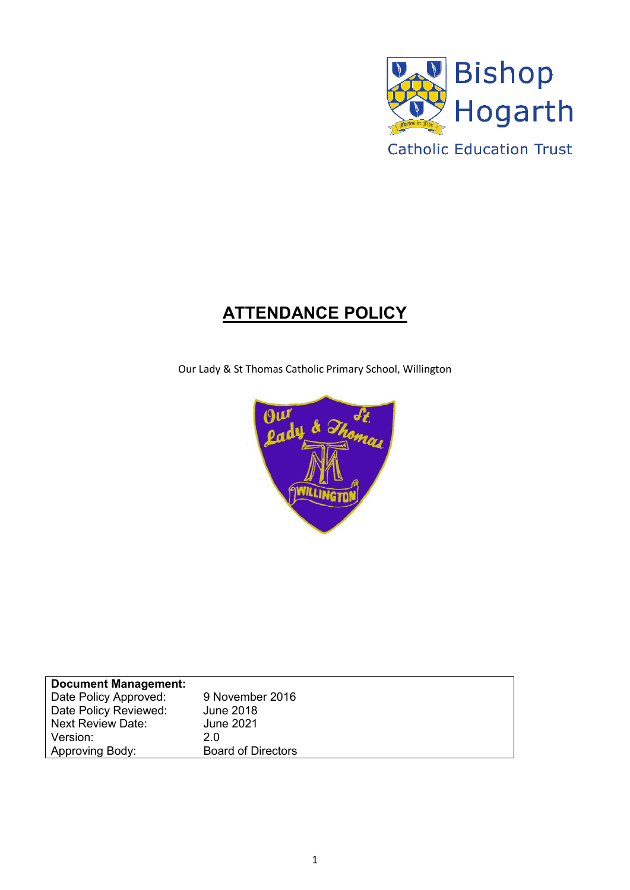

# **ATTENDANCE POLICY**

Our Lady & St Thomas Catholic Primary School, Willington



| <b>Document Management:</b> |                           |
|-----------------------------|---------------------------|
| Date Policy Approved:       | 9 November 2016           |
| Date Policy Reviewed:       | <b>June 2018</b>          |
| <b>Next Review Date:</b>    | <b>June 2021</b>          |
| Version:                    | 2.0                       |
| Approving Body:             | <b>Board of Directors</b> |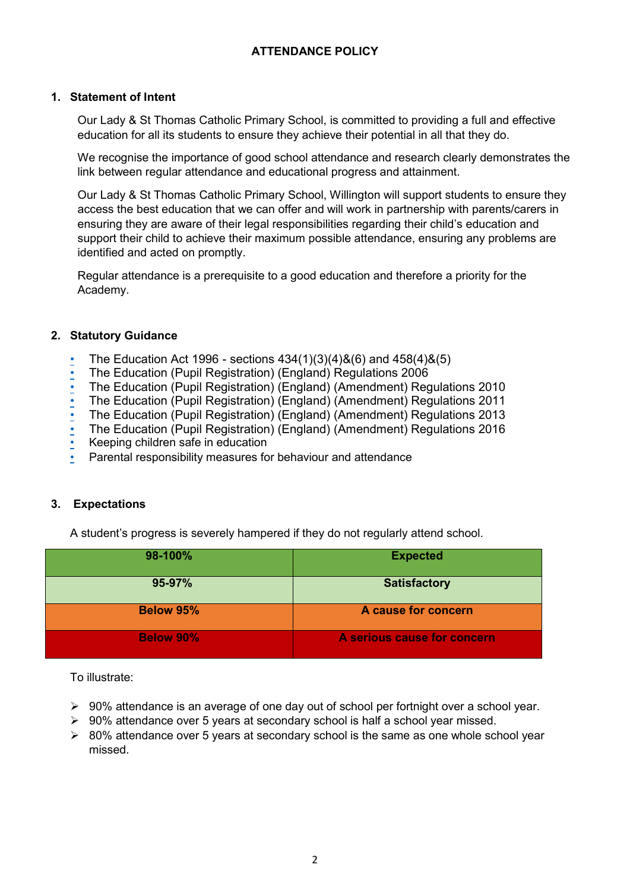# **ATTENDANCE POLICY**

### **1. Statement of Intent**

Our Lady & St Thomas Catholic Primary School, is committed to providing a full and effective education for all its students to ensure they achieve their potential in all that they do.

We recognise the importance of good school attendance and research clearly demonstrates the link between regular attendance and educational progress and attainment.

Our Lady & St Thomas Catholic Primary School, Willington will support students to ensure they access the best education that we can offer and will work in partnership with parents/carers in ensuring they are aware of their legal responsibilities regarding their child's education and support their child to achieve their maximum possible attendance, ensuring any problems are identified and acted on promptly.

Regular attendance is a prerequisite to a good education and therefore a priority for the Academy.

### **2. Statutory Guidance**

- [The Education Act 1996 sections 434\(1\)\(3\)\(4\)&\(6\) and 458\(4\)&\(5\)](http://www.legislation.gov.uk/ukpga/2006/40/contents)
- [The Education \(Pupil Registration\) \(England\) Regulations 2006](http://www.legislation.gov.uk/uksi/2006/1751/regulation/8/made)
- The Education (Pupil Registration) (England) (Amendment) Regulations 2010
- The Education (Pupil Registration) (England) (Amendment) Regulations 2011
- The Education (Pupil Registration) (England) (Amendment) Regulations 2013
- The Education (Pupil Registration) (England) (Amendment) Regulations 2016
- [Keeping children safe in education](http://www.gov.uk/government/publications/keeping-children-safe-in-education--2)
- Parental responsibility measures for behaviour and attendance

### **3. Expectations**

A student's progress is severely hampered if they do not regularly attend school.

| 98-100%          | <b>Expected</b>             |
|------------------|-----------------------------|
| 95-97%           | <b>Satisfactory</b>         |
| <b>Below 95%</b> | A cause for concern         |
| <b>Below 90%</b> | A serious cause for concern |

To illustrate:

- $\triangleright$  90% attendance is an average of one day out of school per fortnight over a school year.
- $\geq 90\%$  attendance over 5 years at secondary school is half a school year missed.
- $\geq 80\%$  attendance over 5 years at secondary school is the same as one whole school year missed.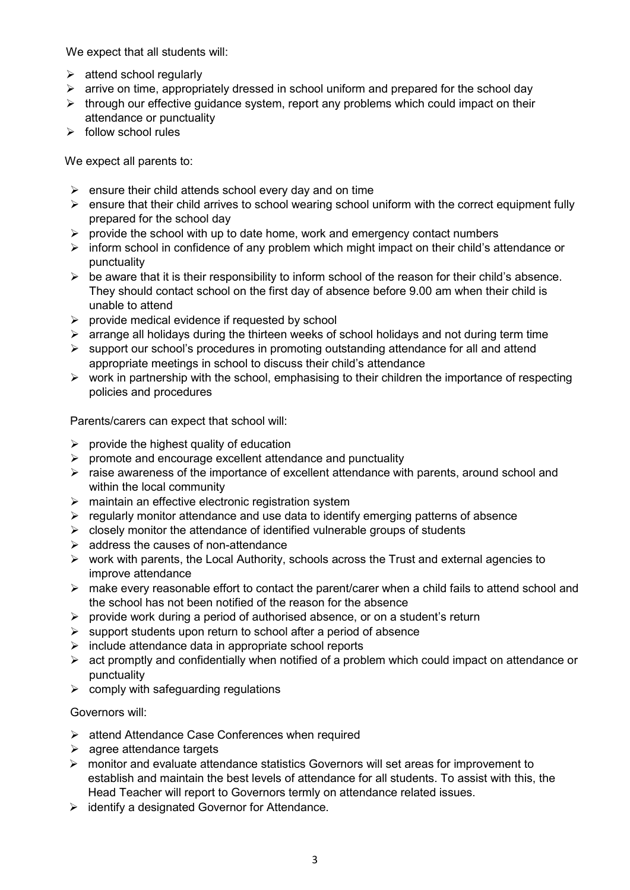We expect that all students will:

- $\triangleright$  attend school regularly
- $\triangleright$  arrive on time, appropriately dressed in school uniform and prepared for the school day
- $\triangleright$  through our effective guidance system, report any problems which could impact on their attendance or punctuality
- $\triangleright$  follow school rules

We expect all parents to:

- $\triangleright$  ensure their child attends school every day and on time
- $\triangleright$  ensure that their child arrives to school wearing school uniform with the correct equipment fully prepared for the school day
- $\triangleright$  provide the school with up to date home, work and emergency contact numbers
- $\triangleright$  inform school in confidence of any problem which might impact on their child's attendance or punctuality
- $\triangleright$  be aware that it is their responsibility to inform school of the reason for their child's absence. They should contact school on the first day of absence before 9.00 am when their child is unable to attend
- $\triangleright$  provide medical evidence if requested by school
- $\triangleright$  arrange all holidays during the thirteen weeks of school holidays and not during term time
- $\triangleright$  support our school's procedures in promoting outstanding attendance for all and attend appropriate meetings in school to discuss their child's attendance
- $\triangleright$  work in partnership with the school, emphasising to their children the importance of respecting policies and procedures

Parents/carers can expect that school will:

- $\triangleright$  provide the highest quality of education
- $\triangleright$  promote and encourage excellent attendance and punctuality
- $\triangleright$  raise awareness of the importance of excellent attendance with parents, around school and within the local community
- $\triangleright$  maintain an effective electronic registration system
- $\triangleright$  regularly monitor attendance and use data to identify emerging patterns of absence
- $\triangleright$  closely monitor the attendance of identified vulnerable groups of students
- $\triangleright$  address the causes of non-attendance
- $\triangleright$  work with parents, the Local Authority, schools across the Trust and external agencies to improve attendance
- $\triangleright$  make every reasonable effort to contact the parent/carer when a child fails to attend school and the school has not been notified of the reason for the absence
- $\triangleright$  provide work during a period of authorised absence, or on a student's return
- $\triangleright$  support students upon return to school after a period of absence
- $\triangleright$  include attendance data in appropriate school reports
- $\triangleright$  act promptly and confidentially when notified of a problem which could impact on attendance or punctuality
- $\triangleright$  comply with safeguarding regulations

Governors will:

- $\triangleright$  attend Attendance Case Conferences when required
- $\triangleright$  agree attendance targets
- $\triangleright$  monitor and evaluate attendance statistics Governors will set areas for improvement to establish and maintain the best levels of attendance for all students. To assist with this, the Head Teacher will report to Governors termly on attendance related issues.
- $\triangleright$  identify a designated Governor for Attendance.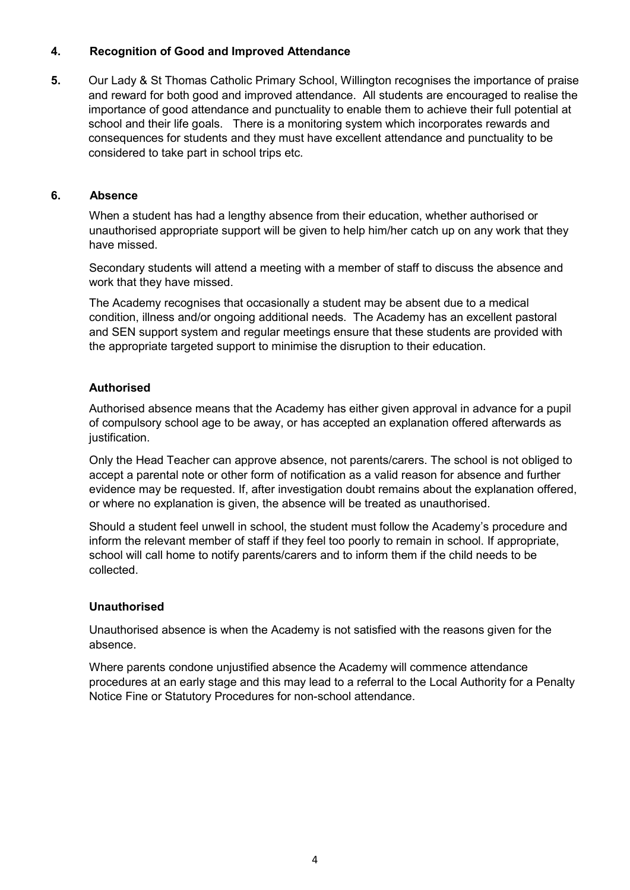### **4. Recognition of Good and Improved Attendance**

**5.** Our Lady & St Thomas Catholic Primary School, Willington recognises the importance of praise and reward for both good and improved attendance. All students are encouraged to realise the importance of good attendance and punctuality to enable them to achieve their full potential at school and their life goals. There is a monitoring system which incorporates rewards and consequences for students and they must have excellent attendance and punctuality to be considered to take part in school trips etc.

### **6. Absence**

When a student has had a lengthy absence from their education, whether authorised or unauthorised appropriate support will be given to help him/her catch up on any work that they have missed.

Secondary students will attend a meeting with a member of staff to discuss the absence and work that they have missed.

The Academy recognises that occasionally a student may be absent due to a medical condition, illness and/or ongoing additional needs. The Academy has an excellent pastoral and SEN support system and regular meetings ensure that these students are provided with the appropriate targeted support to minimise the disruption to their education.

### **Authorised**

Authorised absence means that the Academy has either given approval in advance for a pupil of compulsory school age to be away, or has accepted an explanation offered afterwards as justification.

Only the Head Teacher can approve absence, not parents/carers. The school is not obliged to accept a parental note or other form of notification as a valid reason for absence and further evidence may be requested. If, after investigation doubt remains about the explanation offered, or where no explanation is given, the absence will be treated as unauthorised.

Should a student feel unwell in school, the student must follow the Academy's procedure and inform the relevant member of staff if they feel too poorly to remain in school. If appropriate, school will call home to notify parents/carers and to inform them if the child needs to be collected.

### **Unauthorised**

Unauthorised absence is when the Academy is not satisfied with the reasons given for the absence.

Where parents condone unjustified absence the Academy will commence attendance procedures at an early stage and this may lead to a referral to the Local Authority for a Penalty Notice Fine or Statutory Procedures for non-school attendance.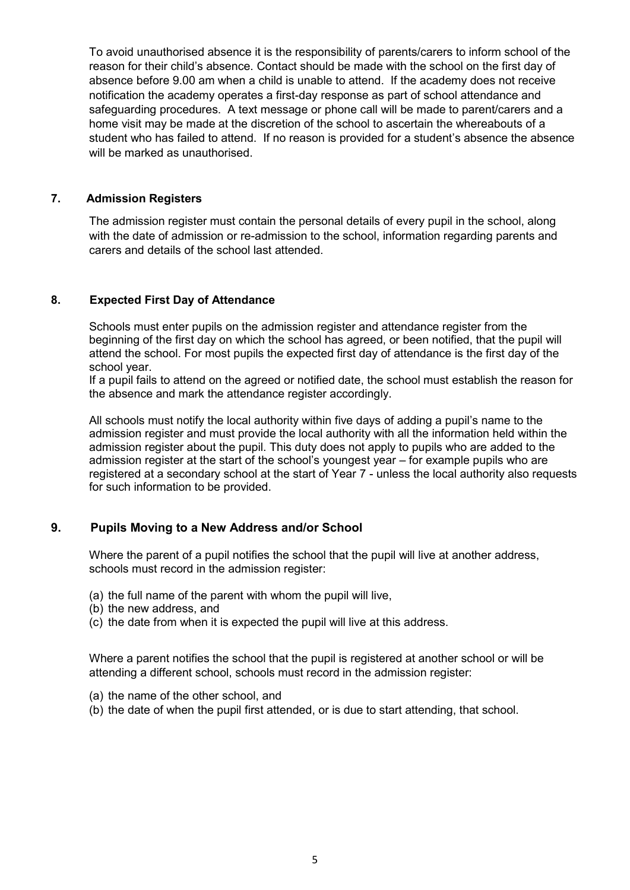To avoid unauthorised absence it is the responsibility of parents/carers to inform school of the reason for their child's absence. Contact should be made with the school on the first day of absence before 9.00 am when a child is unable to attend. If the academy does not receive notification the academy operates a first-day response as part of school attendance and safeguarding procedures. A text message or phone call will be made to parent/carers and a home visit may be made at the discretion of the school to ascertain the whereabouts of a student who has failed to attend. If no reason is provided for a student's absence the absence will be marked as unauthorised.

#### **7. Admission Registers**

The admission register must contain the personal details of every pupil in the school, along with the date of admission or re-admission to the school, information regarding parents and carers and details of the school last attended.

### **8. Expected First Day of Attendance**

Schools must enter pupils on the admission register and attendance register from the beginning of the first day on which the school has agreed, or been notified, that the pupil will attend the school. For most pupils the expected first day of attendance is the first day of the school year.

If a pupil fails to attend on the agreed or notified date, the school must establish the reason for the absence and mark the attendance register accordingly.

All schools must notify the local authority within five days of adding a pupil's name to the admission register and must provide the local authority with all the information held within the admission register about the pupil. This duty does not apply to pupils who are added to the admission register at the start of the school's youngest year – for example pupils who are registered at a secondary school at the start of Year 7 - unless the local authority also requests for such information to be provided.

## **9. Pupils Moving to a New Address and/or School**

Where the parent of a pupil notifies the school that the pupil will live at another address, schools must record in the admission register:

- (a) the full name of the parent with whom the pupil will live,
- (b) the new address, and
- (c) the date from when it is expected the pupil will live at this address.

Where a parent notifies the school that the pupil is registered at another school or will be attending a different school, schools must record in the admission register:

- (a) the name of the other school, and
- (b) the date of when the pupil first attended, or is due to start attending, that school.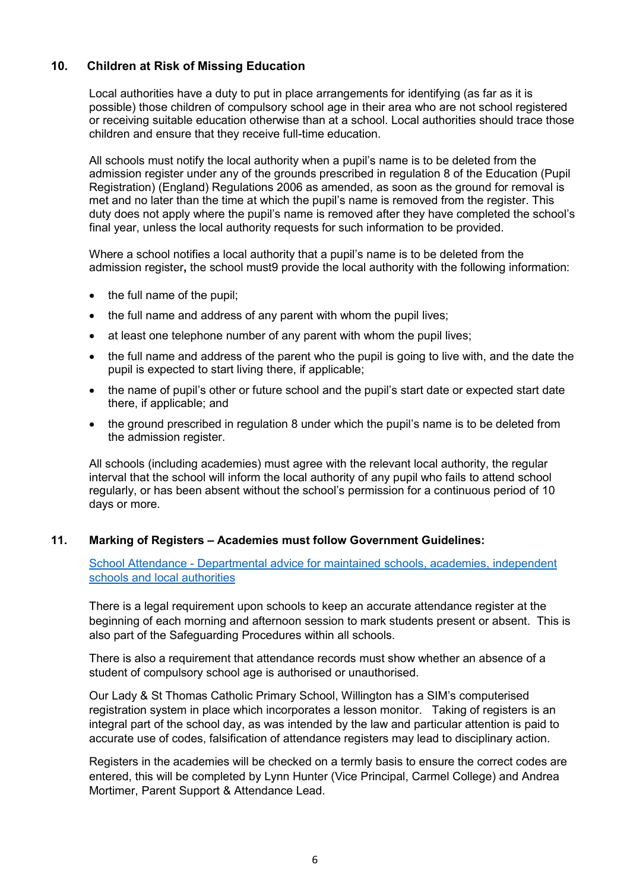# **10. Children at Risk of Missing Education**

Local authorities have a duty to put in place arrangements for identifying (as far as it is possible) those children of compulsory school age in their area who are not school registered or receiving suitable education otherwise than at a school. Local authorities should trace those children and ensure that they receive full-time education.

All schools must notify the local authority when a pupil's name is to be deleted from the admission register under any of the grounds prescribed in regulation 8 of the Education (Pupil Registration) (England) Regulations 2006 as amended, as soon as the ground for removal is met and no later than the time at which the pupil's name is removed from the register. This duty does not apply where the pupil's name is removed after they have completed the school's final year, unless the local authority requests for such information to be provided.

Where a school notifies a local authority that a pupil's name is to be deleted from the admission register**,** the school must9 provide the local authority with the following information:

- $\bullet$  the full name of the pupil;
- the full name and address of any parent with whom the pupil lives;
- at least one telephone number of any parent with whom the pupil lives;
- the full name and address of the parent who the pupil is going to live with, and the date the pupil is expected to start living there, if applicable;
- the name of pupil's other or future school and the pupil's start date or expected start date there, if applicable; and
- the ground prescribed in regulation 8 under which the pupil's name is to be deleted from the admission register.

All schools (including academies) must agree with the relevant local authority, the regular interval that the school will inform the local authority of any pupil who fails to attend school regularly, or has been absent without the school's permission for a continuous period of 10 days or more.

### **11. Marking of Registers – Academies must follow Government Guidelines:**

[School Attendance - Departmental advice for maintained schools, academies, independent](https://www.gov.uk/government/uploads/system/uploads/attachment_data/file/518586/Advice_on_school_attendance.pdf)  [schools and local authorities](https://www.gov.uk/government/uploads/system/uploads/attachment_data/file/518586/Advice_on_school_attendance.pdf)

There is a legal requirement upon schools to keep an accurate attendance register at the beginning of each morning and afternoon session to mark students present or absent. This is also part of the Safeguarding Procedures within all schools.

There is also a requirement that attendance records must show whether an absence of a student of compulsory school age is authorised or unauthorised.

Our Lady & St Thomas Catholic Primary School, Willington has a SIM's computerised registration system in place which incorporates a lesson monitor. Taking of registers is an integral part of the school day, as was intended by the law and particular attention is paid to accurate use of codes, falsification of attendance registers may lead to disciplinary action.

Registers in the academies will be checked on a termly basis to ensure the correct codes are entered, this will be completed by Lynn Hunter (Vice Principal, Carmel College) and Andrea Mortimer, Parent Support & Attendance Lead.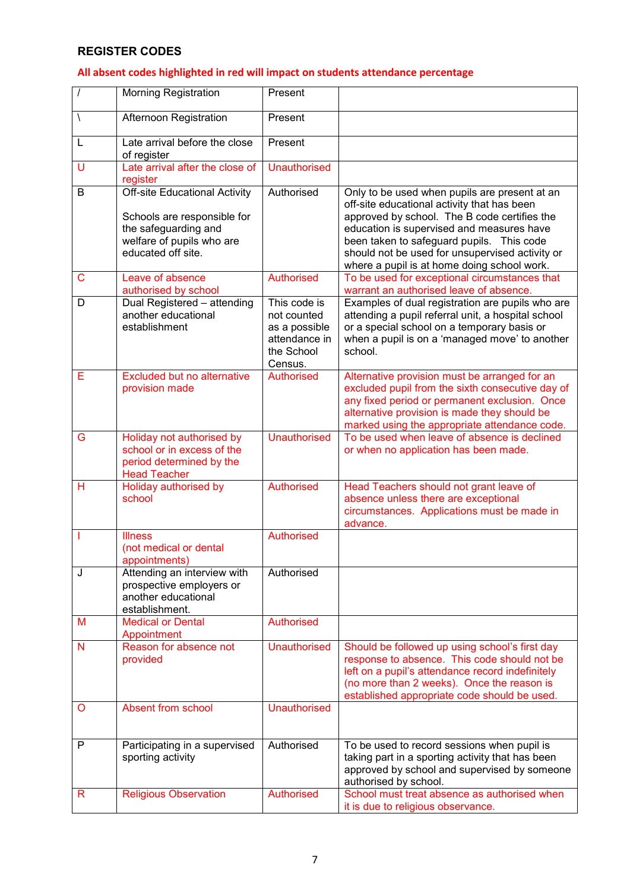# **REGISTER CODES**

# **All absent codes highlighted in red will impact on students attendance percentage**

|           | <b>Morning Registration</b>                                                                                                                    | Present                                                                                |                                                                                                                                                                                                                                                                                                                                          |
|-----------|------------------------------------------------------------------------------------------------------------------------------------------------|----------------------------------------------------------------------------------------|------------------------------------------------------------------------------------------------------------------------------------------------------------------------------------------------------------------------------------------------------------------------------------------------------------------------------------------|
| $\lambda$ | Afternoon Registration                                                                                                                         | Present                                                                                |                                                                                                                                                                                                                                                                                                                                          |
| L         | Late arrival before the close<br>of register                                                                                                   | Present                                                                                |                                                                                                                                                                                                                                                                                                                                          |
| U         | Late arrival after the close of<br>register                                                                                                    | <b>Unauthorised</b>                                                                    |                                                                                                                                                                                                                                                                                                                                          |
| B         | <b>Off-site Educational Activity</b><br>Schools are responsible for<br>the safeguarding and<br>welfare of pupils who are<br>educated off site. | Authorised                                                                             | Only to be used when pupils are present at an<br>off-site educational activity that has been<br>approved by school. The B code certifies the<br>education is supervised and measures have<br>been taken to safeguard pupils. This code<br>should not be used for unsupervised activity or<br>where a pupil is at home doing school work. |
| С         | Leave of absence<br>authorised by school                                                                                                       | Authorised                                                                             | To be used for exceptional circumstances that<br>warrant an authorised leave of absence.                                                                                                                                                                                                                                                 |
| D         | Dual Registered - attending<br>another educational<br>establishment                                                                            | This code is<br>not counted<br>as a possible<br>attendance in<br>the School<br>Census. | Examples of dual registration are pupils who are<br>attending a pupil referral unit, a hospital school<br>or a special school on a temporary basis or<br>when a pupil is on a 'managed move' to another<br>school.                                                                                                                       |
| Е         | <b>Excluded but no alternative</b><br>provision made                                                                                           | Authorised                                                                             | Alternative provision must be arranged for an<br>excluded pupil from the sixth consecutive day of<br>any fixed period or permanent exclusion. Once<br>alternative provision is made they should be<br>marked using the appropriate attendance code.                                                                                      |
| G         | Holiday not authorised by<br>school or in excess of the<br>period determined by the<br><b>Head Teacher</b>                                     | <b>Unauthorised</b>                                                                    | To be used when leave of absence is declined<br>or when no application has been made.                                                                                                                                                                                                                                                    |
| н         | Holiday authorised by<br>school                                                                                                                | Authorised                                                                             | Head Teachers should not grant leave of<br>absence unless there are exceptional<br>circumstances. Applications must be made in<br>advance.                                                                                                                                                                                               |
|           | <b>Illness</b><br>(not medical or dental<br>appointments)                                                                                      | <b>Authorised</b>                                                                      |                                                                                                                                                                                                                                                                                                                                          |
| J         | Attending an interview with<br>prospective employers or<br>another educational<br>establishment.                                               | Authorised                                                                             |                                                                                                                                                                                                                                                                                                                                          |
| M         | <b>Medical or Dental</b><br>Appointment                                                                                                        | Authorised                                                                             |                                                                                                                                                                                                                                                                                                                                          |
| N         | Reason for absence not<br>provided                                                                                                             | <b>Unauthorised</b>                                                                    | Should be followed up using school's first day<br>response to absence. This code should not be<br>left on a pupil's attendance record indefinitely<br>(no more than 2 weeks). Once the reason is<br>established appropriate code should be used.                                                                                         |
| O         | Absent from school                                                                                                                             | <b>Unauthorised</b>                                                                    |                                                                                                                                                                                                                                                                                                                                          |
| P         | Participating in a supervised<br>sporting activity                                                                                             | Authorised                                                                             | To be used to record sessions when pupil is<br>taking part in a sporting activity that has been<br>approved by school and supervised by someone<br>authorised by school.                                                                                                                                                                 |
| R         | <b>Religious Observation</b>                                                                                                                   | Authorised                                                                             | School must treat absence as authorised when<br>it is due to religious observance.                                                                                                                                                                                                                                                       |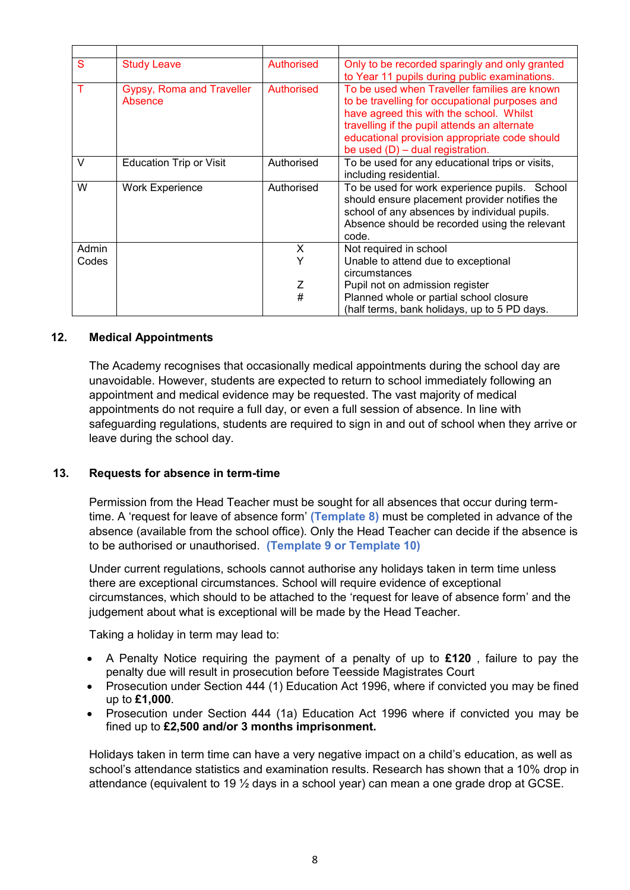| S      | <b>Study Leave</b>                          | Authorised | Only to be recorded sparingly and only granted<br>to Year 11 pupils during public examinations.                                                                                                                                                                                   |
|--------|---------------------------------------------|------------|-----------------------------------------------------------------------------------------------------------------------------------------------------------------------------------------------------------------------------------------------------------------------------------|
|        | <b>Gypsy, Roma and Traveller</b><br>Absence | Authorised | To be used when Traveller families are known<br>to be travelling for occupational purposes and<br>have agreed this with the school. Whilst<br>travelling if the pupil attends an alternate<br>educational provision appropriate code should<br>be used $(D)$ – dual registration. |
| $\vee$ | <b>Education Trip or Visit</b>              | Authorised | To be used for any educational trips or visits,<br>including residential.                                                                                                                                                                                                         |
| W      | <b>Work Experience</b>                      | Authorised | To be used for work experience pupils. School<br>should ensure placement provider notifies the<br>school of any absences by individual pupils.<br>Absence should be recorded using the relevant<br>code.                                                                          |
| Admin  |                                             | X          | Not required in school                                                                                                                                                                                                                                                            |
| Codes  |                                             | Y          | Unable to attend due to exceptional<br>circumstances                                                                                                                                                                                                                              |
|        |                                             | Ζ          | Pupil not on admission register                                                                                                                                                                                                                                                   |
|        |                                             | #          | Planned whole or partial school closure                                                                                                                                                                                                                                           |
|        |                                             |            | (half terms, bank holidays, up to 5 PD days.                                                                                                                                                                                                                                      |

#### **12. Medical Appointments**

The Academy recognises that occasionally medical appointments during the school day are unavoidable. However, students are expected to return to school immediately following an appointment and medical evidence may be requested. The vast majority of medical appointments do not require a full day, or even a full session of absence. In line with safeguarding regulations, students are required to sign in and out of school when they arrive or leave during the school day.

### **13. Requests for absence in term-time**

Permission from the Head Teacher must be sought for all absences that occur during termtime. A 'request for leave of absence form' **(Template 8)** must be completed in advance of the absence (available from the school office). Only the Head Teacher can decide if the absence is to be authorised or unauthorised. **(Template 9 or Template 10)**

Under current regulations, schools cannot authorise any holidays taken in term time unless there are exceptional circumstances. School will require evidence of exceptional circumstances, which should to be attached to the 'request for leave of absence form' and the judgement about what is exceptional will be made by the Head Teacher.

Taking a holiday in term may lead to:

- A Penalty Notice requiring the payment of a penalty of up to **£120** , failure to pay the penalty due will result in prosecution before Teesside Magistrates Court
- Prosecution under Section 444 (1) Education Act 1996, where if convicted you may be fined up to **£1,000**.
- Prosecution under Section 444 (1a) Education Act 1996 where if convicted you may be fined up to **£2,500 and/or 3 months imprisonment.**

Holidays taken in term time can have a very negative impact on a child's education, as well as school's attendance statistics and examination results. Research has shown that a 10% drop in attendance (equivalent to 19  $\frac{1}{2}$  days in a school year) can mean a one grade drop at GCSE.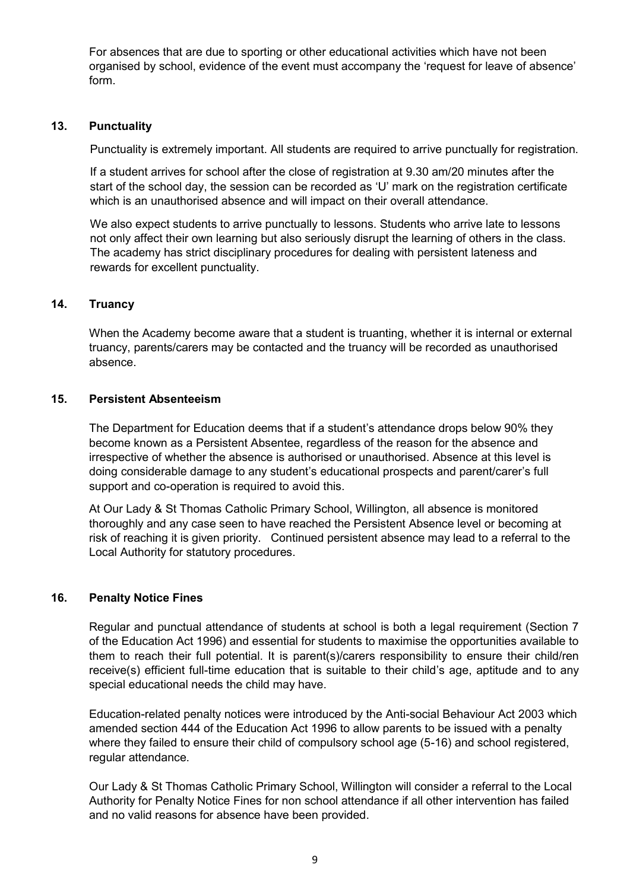For absences that are due to sporting or other educational activities which have not been organised by school, evidence of the event must accompany the 'request for leave of absence' form.

### **13. Punctuality**

Punctuality is extremely important. All students are required to arrive punctually for registration.

If a student arrives for school after the close of registration at 9.30 am/20 minutes after the start of the school day, the session can be recorded as 'U' mark on the registration certificate which is an unauthorised absence and will impact on their overall attendance.

We also expect students to arrive punctually to lessons. Students who arrive late to lessons not only affect their own learning but also seriously disrupt the learning of others in the class. The academy has strict disciplinary procedures for dealing with persistent lateness and rewards for excellent punctuality.

#### **14. Truancy**

When the Academy become aware that a student is truanting, whether it is internal or external truancy, parents/carers may be contacted and the truancy will be recorded as unauthorised absence.

### **15. Persistent Absenteeism**

The Department for Education deems that if a student's attendance drops below 90% they become known as a Persistent Absentee, regardless of the reason for the absence and irrespective of whether the absence is authorised or unauthorised. Absence at this level is doing considerable damage to any student's educational prospects and parent/carer's full support and co-operation is required to avoid this.

At Our Lady & St Thomas Catholic Primary School, Willington, all absence is monitored thoroughly and any case seen to have reached the Persistent Absence level or becoming at risk of reaching it is given priority. Continued persistent absence may lead to a referral to the Local Authority for statutory procedures.

### **16. Penalty Notice Fines**

Regular and punctual attendance of students at school is both a legal requirement (Section 7 of the Education Act 1996) and essential for students to maximise the opportunities available to them to reach their full potential. It is parent(s)/carers responsibility to ensure their child/ren receive(s) efficient full-time education that is suitable to their child's age, aptitude and to any special educational needs the child may have.

Education-related penalty notices were introduced by the Anti-social Behaviour Act 2003 which amended section 444 of the Education Act 1996 to allow parents to be issued with a penalty where they failed to ensure their child of compulsory school age (5-16) and school registered, regular attendance.

Our Lady & St Thomas Catholic Primary School, Willington will consider a referral to the Local Authority for Penalty Notice Fines for non school attendance if all other intervention has failed and no valid reasons for absence have been provided.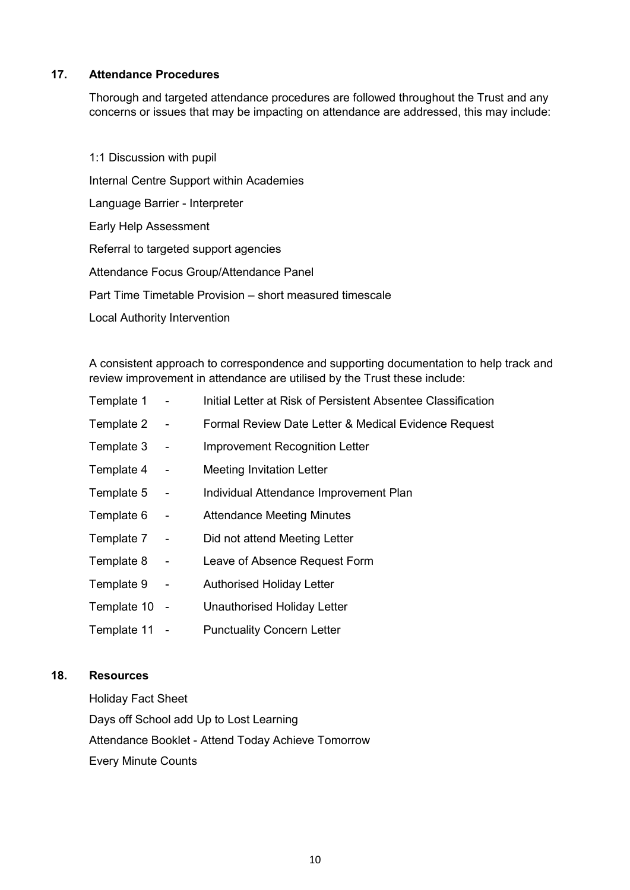### **17. Attendance Procedures**

Thorough and targeted attendance procedures are followed throughout the Trust and any concerns or issues that may be impacting on attendance are addressed, this may include:

 1:1 Discussion with pupil Internal Centre Support within Academies Language Barrier - Interpreter Early Help Assessment Referral to targeted support agencies Attendance Focus Group/Attendance Panel Part Time Timetable Provision – short measured timescale Local Authority Intervention

A consistent approach to correspondence and supporting documentation to help track and review improvement in attendance are utilised by the Trust these include:

| Template 1  | $\blacksquare$ | Initial Letter at Risk of Persistent Absentee Classification |
|-------------|----------------|--------------------------------------------------------------|
| Template 2  | $\sim$ $-$     | Formal Review Date Letter & Medical Evidence Request         |
| Template 3  | $\sim$         | <b>Improvement Recognition Letter</b>                        |
| Template 4  | $\sim$         | <b>Meeting Invitation Letter</b>                             |
| Template 5  | $\blacksquare$ | Individual Attendance Improvement Plan                       |
| Template 6  | $\sim$         | <b>Attendance Meeting Minutes</b>                            |
| Template 7  | $\sim$         | Did not attend Meeting Letter                                |
| Template 8  | $\sim$ $-$     | Leave of Absence Request Form                                |
| Template 9  | $\blacksquare$ | <b>Authorised Holiday Letter</b>                             |
| Template 10 | $\sim$ $-$     | Unauthorised Holiday Letter                                  |
| Template 11 |                | <b>Punctuality Concern Letter</b>                            |

### **18. Resources**

Holiday Fact Sheet Days off School add Up to Lost Learning Attendance Booklet - Attend Today Achieve Tomorrow Every Minute Counts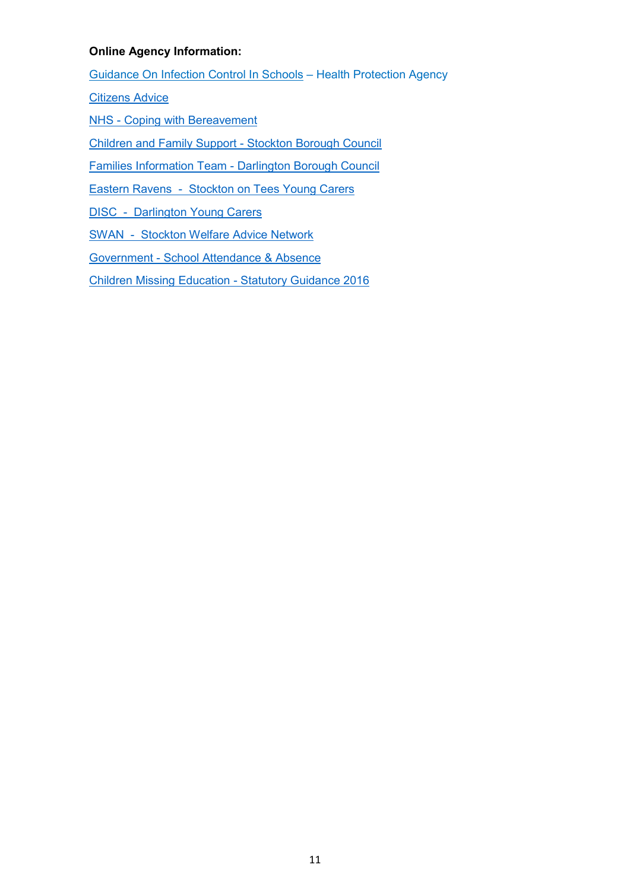## **Online Agency Information:**

Guidance On Infection Control In Schools – Health Protection Agency

[Citizens Advice](https://www.citizensadvice.org.uk/)

[NHS - Coping with Bereavement](https://www.nhs.uk/Livewell/bereavement/Pages/coping-with-bereavement.aspx)

[Children and Family Support - Stockton Borough Council](https://www.stockton.gov.uk/children-and-young-people/children-and-family-support/)

[Families Information Team - Darlington Borough Council](http://www.darlington.gov.uk/education-and-learning/families-information-team/)

[Eastern Ravens - Stockton on Tees Young Carers](http://www.easternravenstrust.org/)

DISC - Darlington Young Carers

[SWAN - Stockton Welfare Advice Network](http://www.stocktonadvice.org.uk/education/)

[Government - School Attendance & Absence](https://www.gov.uk/school-attendance-absence)

[Children Missing Education - Statutory Guidance 2016](https://assets.publishing.service.gov.uk/government/uploads/system/uploads/attachment_data/file/550416/Children_Missing_Education_-_statutory_guidance.pdf)